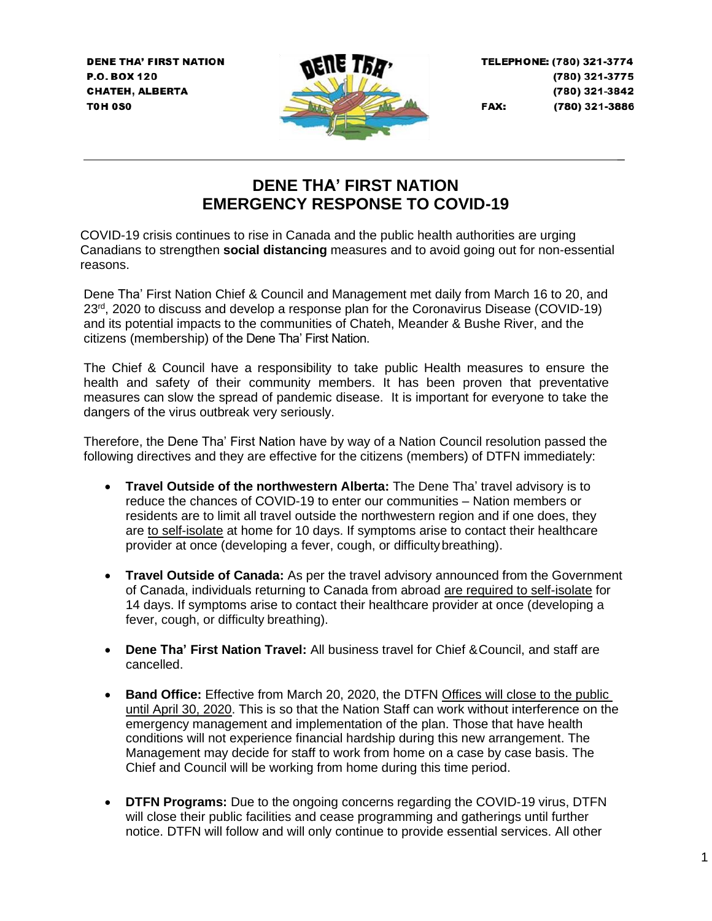**DENE THA' FIRST NATION** P.O. BOX 120 **CHATEH, ALBERTA T0H 0S0** 



TELEPHONE: (780) 321-3774 (780) 321-3775 (780) 321-3842 (780) 321-3886 FAX:

\_

## **DENE THA' FIRST NATION EMERGENCY RESPONSE TO COVID-19**

COVID-19 crisis continues to rise in Canada and the public health authorities are urging Canadians to strengthen **social distancing** measures and to avoid going out for non-essential reasons.

Dene Tha' First Nation Chief & Council and Management met daily from March 16 to 20, and 23<sup>rd</sup>, 2020 to discuss and develop a response plan for the Coronavirus Disease (COVID-19) and its potential impacts to the communities of Chateh, Meander & Bushe River, and the citizens (membership) of the Dene Tha' First Nation.

The Chief & Council have a responsibility to take public Health measures to ensure the health and safety of their community members. It has been proven that preventative measures can slow the spread of pandemic disease. It is important for everyone to take the dangers of the virus outbreak very seriously.

Therefore, the Dene Tha' First Nation have by way of a Nation Council resolution passed the following directives and they are effective for the citizens (members) of DTFN immediately:

- **Travel Outside of the northwestern Alberta:** The Dene Tha' travel advisory is to reduce the chances of COVID-19 to enter our communities – Nation members or residents are to limit all travel outside the northwestern region and if one does, they are to self-isolate at home for 10 days. If symptoms arise to contact their healthcare provider at once (developing a fever, cough, or difficultybreathing).
- **Travel Outside of Canada:** As per the travel advisory announced from the Government of Canada, individuals returning to Canada from abroad are required to self-isolate for 14 days. If symptoms arise to contact their healthcare provider at once (developing a fever, cough, or difficulty breathing).
- **Dene Tha' First Nation Travel:** All business travel for Chief &Council, and staff are cancelled.
- **Band Office:** Effective from March 20, 2020, the DTFN Offices will close to the public until April 30, 2020. This is so that the Nation Staff can work without interference on the emergency management and implementation of the plan. Those that have health conditions will not experience financial hardship during this new arrangement. The Management may decide for staff to work from home on a case by case basis. The Chief and Council will be working from home during this time period.
- **DTFN Programs:** Due to the ongoing concerns regarding the COVID-19 virus, DTFN will close their public facilities and cease programming and gatherings until further notice. DTFN will follow and will only continue to provide essential services. All other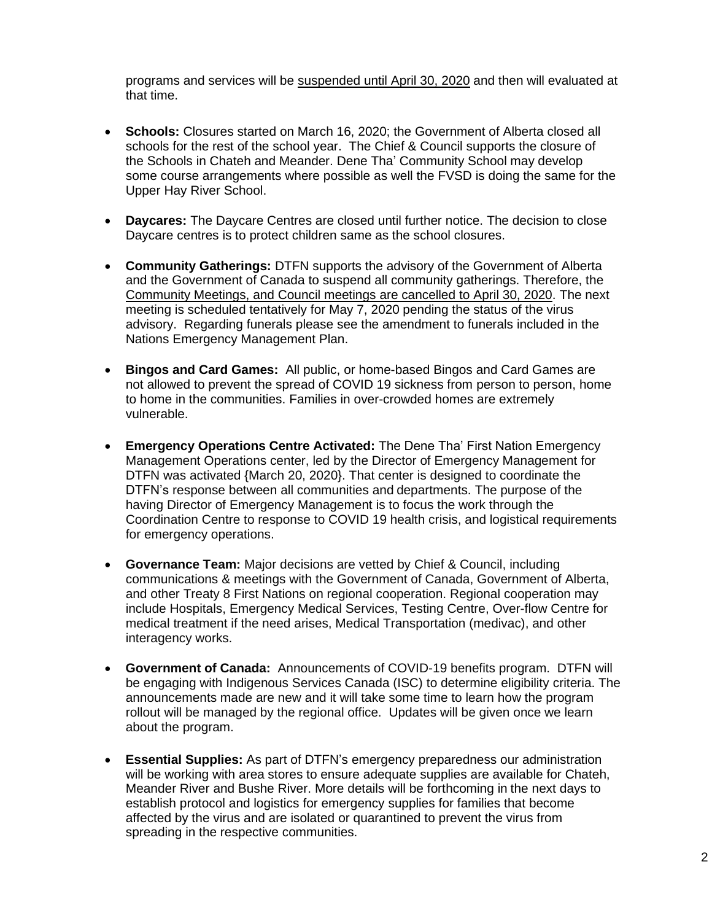programs and services will be suspended until April 30, 2020 and then will evaluated at that time.

- **Schools:** Closures started on March 16, 2020; the Government of Alberta closed all schools for the rest of the school year. The Chief & Council supports the closure of the Schools in Chateh and Meander. Dene Tha' Community School may develop some course arrangements where possible as well the FVSD is doing the same for the Upper Hay River School.
- **Daycares:** The Daycare Centres are closed until further notice. The decision to close Daycare centres is to protect children same as the school closures.
- **Community Gatherings:** DTFN supports the advisory of the Government of Alberta and the Government of Canada to suspend all community gatherings. Therefore, the Community Meetings, and Council meetings are cancelled to April 30, 2020. The next meeting is scheduled tentatively for May 7, 2020 pending the status of the virus advisory. Regarding funerals please see the amendment to funerals included in the Nations Emergency Management Plan.
- **Bingos and Card Games:** All public, or home-based Bingos and Card Games are not allowed to prevent the spread of COVID 19 sickness from person to person, home to home in the communities. Families in over-crowded homes are extremely vulnerable.
- **Emergency Operations Centre Activated:** The Dene Tha' First Nation Emergency Management Operations center, led by the Director of Emergency Management for DTFN was activated {March 20, 2020}. That center is designed to coordinate the DTFN's response between all communities and departments. The purpose of the having Director of Emergency Management is to focus the work through the Coordination Centre to response to COVID 19 health crisis, and logistical requirements for emergency operations.
- **Governance Team:** Major decisions are vetted by Chief & Council, including communications & meetings with the Government of Canada, Government of Alberta, and other Treaty 8 First Nations on regional cooperation. Regional cooperation may include Hospitals, Emergency Medical Services, Testing Centre, Over-flow Centre for medical treatment if the need arises, Medical Transportation (medivac), and other interagency works.
- **Government of Canada:** Announcements of COVID-19 benefits program. DTFN will be engaging with Indigenous Services Canada (ISC) to determine eligibility criteria. The announcements made are new and it will take some time to learn how the program rollout will be managed by the regional office. Updates will be given once we learn about the program.
- **Essential Supplies:** As part of DTFN's emergency preparedness our administration will be working with area stores to ensure adequate supplies are available for Chateh, Meander River and Bushe River. More details will be forthcoming in the next days to establish protocol and logistics for emergency supplies for families that become affected by the virus and are isolated or quarantined to prevent the virus from spreading in the respective communities.